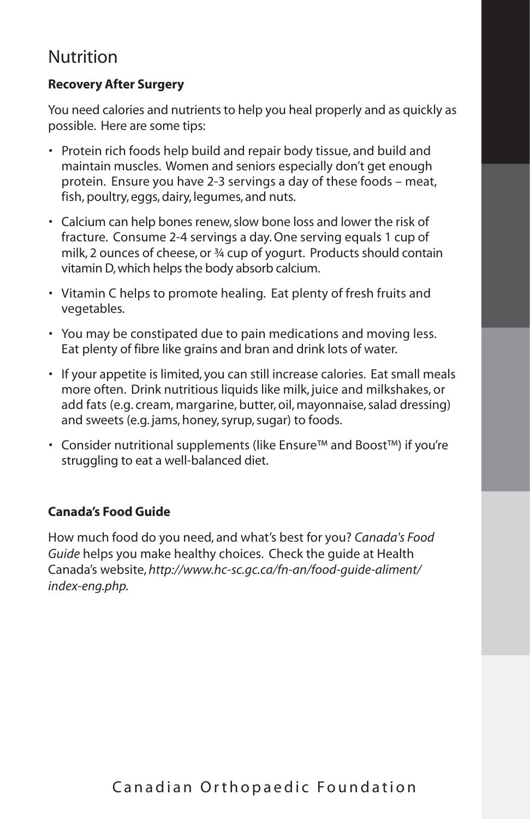# Nutrition

## **Recovery After Surgery**

You need calories and nutrients to help you heal properly and as quickly as possible. Here are some tips:

- Protein rich foods help build and repair body tissue, and build and maintain muscles. Women and seniors especially don't get enough protein. Ensure you have 2-3 servings a day of these foods – meat, fish, poultry, eggs, dairy, legumes, and nuts.
- Calcium can help bones renew, slow bone loss and lower the risk of fracture. Consume 2-4 servings a day. One serving equals 1 cup of milk, 2 ounces of cheese, or ¾ cup of yogurt. Products should contain vitamin D, which helps the body absorb calcium.
- Vitamin C helps to promote healing. Eat plenty of fresh fruits and vegetables.
- You may be constipated due to pain medications and moving less. Eat plenty of fibre like grains and bran and drink lots of water.
- If your appetite is limited, you can still increase calories. Eat small meals more often. Drink nutritious liquids like milk, juice and milkshakes, or add fats (e.g. cream, margarine, butter, oil, mayonnaise, salad dressing) and sweets (e.g. jams, honey, syrup, sugar) to foods.
- Consider nutritional supplements (like Ensure™ and Boost™) if you're struggling to eat a well-balanced diet.

# **Canada's Food Guide**

How much food do you need, and what's best for you? *Canada's Food Guide* helps you make healthy choices. Check the guide at Health Canada's website, *http://www.hc-sc.gc.ca/fn-an/food-guide-aliment/ index-eng.php.*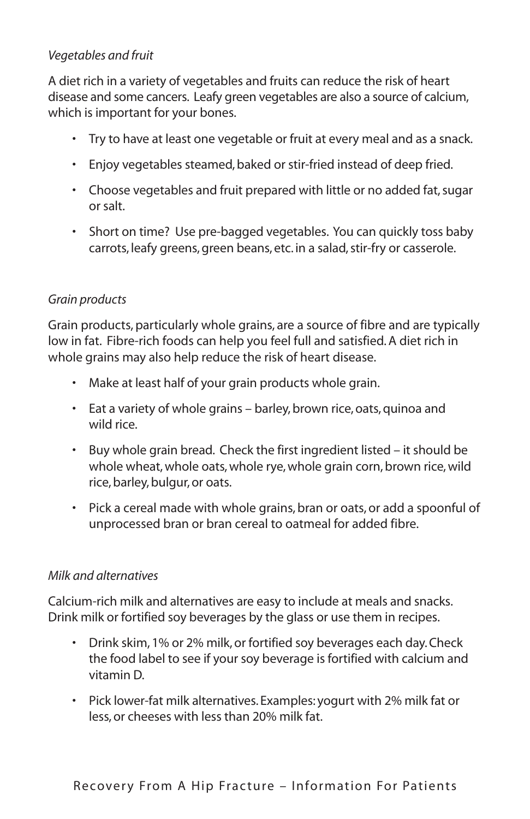#### *Vegetables and fruit*

A diet rich in a variety of vegetables and fruits can reduce the risk of heart disease and some cancers. Leafy green vegetables are also a source of calcium, which is important for your bones.

- Try to have at least one vegetable or fruit at every meal and as a snack.
- Enjoy vegetables steamed, baked or stir-fried instead of deep fried.
- Choose vegetables and fruit prepared with little or no added fat, sugar or salt.
- Short on time? Use pre-bagged vegetables. You can quickly toss baby carrots, leafy greens, green beans, etc. in a salad, stir-fry or casserole.

#### *Grain products*

Grain products, particularly whole grains, are a source of fibre and are typically low in fat. Fibre-rich foods can help you feel full and satisfied. A diet rich in whole grains may also help reduce the risk of heart disease.

- Make at least half of your grain products whole grain.
- Eat a variety of whole grains barley, brown rice, oats, quinoa and wild rice.
- Buy whole grain bread. Check the first ingredient listed it should be whole wheat, whole oats, whole rye, whole grain corn, brown rice, wild rice, barley, bulgur, or oats.
- Pick a cereal made with whole grains, bran or oats, or add a spoonful of unprocessed bran or bran cereal to oatmeal for added fibre.

#### *Milk and alternatives*

Calcium-rich milk and alternatives are easy to include at meals and snacks. Drink milk or fortified soy beverages by the glass or use them in recipes.

- Drink skim, 1% or 2% milk, or fortified soy beverages each day. Check the food label to see if your soy beverage is fortified with calcium and vitamin D.
- Pick lower-fat milk alternatives. Examples: yogurt with 2% milk fat or less, or cheeses with less than 20% milk fat.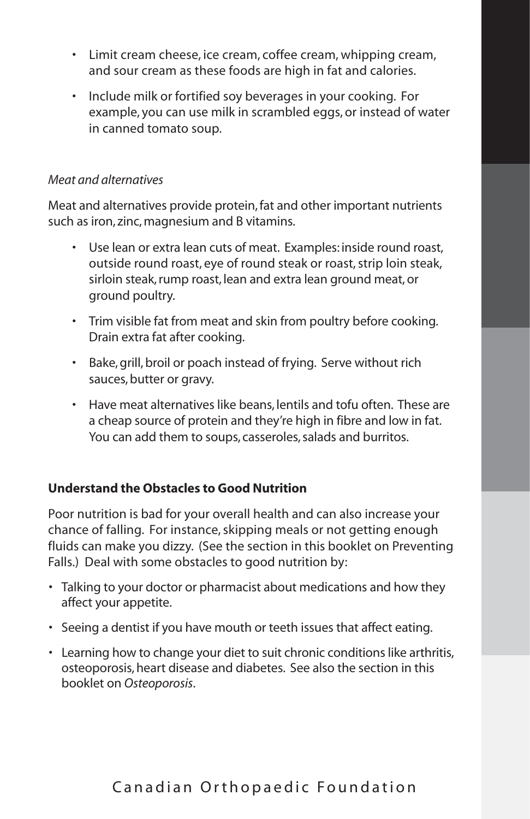- Limit cream cheese, ice cream, coffee cream, whipping cream, and sour cream as these foods are high in fat and calories.
- Include milk or fortified soy beverages in your cooking. For example, you can use milk in scrambled eggs, or instead of water in canned tomato soup.

#### *Meat and alternatives*

Meat and alternatives provide protein, fat and other important nutrients such as iron, zinc, magnesium and B vitamins.

- Use lean or extra lean cuts of meat. Examples: inside round roast, outside round roast, eye of round steak or roast, strip loin steak, sirloin steak, rump roast, lean and extra lean ground meat, or ground poultry.
- Trim visible fat from meat and skin from poultry before cooking. Drain extra fat after cooking.
- Bake, grill, broil or poach instead of frying. Serve without rich sauces, butter or gravy.
- Have meat alternatives like beans, lentils and tofu often. These are a cheap source of protein and they're high in fibre and low in fat. You can add them to soups, casseroles, salads and burritos.

#### **Understand the Obstacles to Good Nutrition**

Poor nutrition is bad for your overall health and can also increase your chance of falling. For instance, skipping meals or not getting enough fluids can make you dizzy. (See the section in this booklet on Preventing Falls.) Deal with some obstacles to good nutrition by:

- Talking to your doctor or pharmacist about medications and how they affect your appetite.
- Seeing a dentist if you have mouth or teeth issues that affect eating.
- Learning how to change your diet to suit chronic conditions like arthritis, osteoporosis, heart disease and diabetes. See also the section in this booklet on *Osteoporosis*.